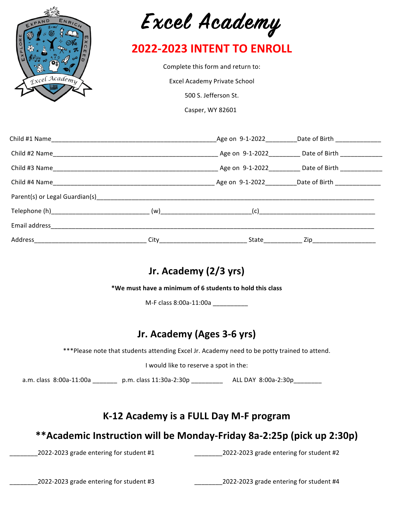



## **2022-2023 INTENT TO ENROLL**

Complete this form and return to:

Excel Academy Private School

500 S. Jefferson St.

Casper, WY 82601

|                                |                         | Age on 9-1-2022                       | Date of Birth <b>Exercise 20</b> |  |
|--------------------------------|-------------------------|---------------------------------------|----------------------------------|--|
| Child #2 Name                  |                         |                                       | Age on 9-1-2022 Date of Birth    |  |
|                                |                         |                                       | Age on 9-1-2022 Date of Birth    |  |
|                                |                         |                                       | Age on 9-1-2022 Date of Birth    |  |
| Parent(s) or Legal Guardian(s) |                         |                                       |                                  |  |
|                                |                         | (w)___________________________<br>(c) |                                  |  |
| Email address                  |                         |                                       |                                  |  |
| Address                        | $City$ <sub>_____</sub> | State                                 | $\mathsf{Zip}\_\_\_\_\_\$        |  |

## **Jr. Academy (2/3 yrs)**

**\*We must have a minimum of 6 students to hold this class**

M-F class 8:00a-11:00a \_\_\_\_\_\_\_\_\_\_\_

## **Jr. Academy (Ages 3-6 yrs)**

\*\*\*Please note that students attending Excel Jr. Academy need to be potty trained to attend.

I would like to reserve a spot in the:

a.m. class 8:00a-11:00a \_\_\_\_\_\_\_ p.m. class 11:30a-2:30p \_\_\_\_\_\_\_\_\_ ALL DAY 8:00a-2:30p \_\_\_\_\_\_\_

### **K-12 Academy is a FULL Day M-F program**

### **\*\*Academic Instruction will be Monday-Friday 8a-2:25p (pick up 2:30p)**

\_2022-2023 grade entering for student #1 \_\_\_\_\_\_\_\_\_\_\_\_\_\_\_\_\_\_\_\_\_\_\_\_\_\_\_\_\_\_\_\_\_\_2022-2023 grade entering for student #2